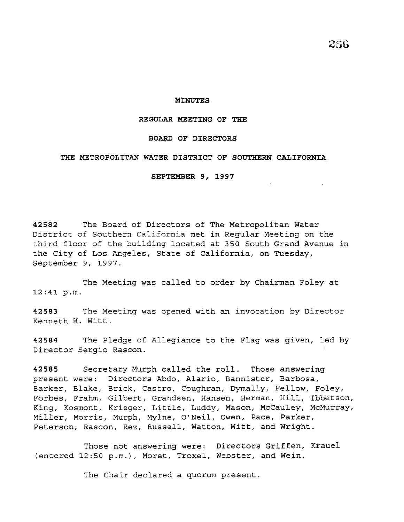#### **MINUTES**

### **REGULAR MEETING OF THE**

## **BOARD OF DIRECTORS**

### **THE METROPOLITAN WATER DISTRICT OF SOUTHERN CALIFORNIA**

**SEPTEMBER 9, 1997** 

**42582** The Board of Directors of The Metropolitan Water District of Southern California met in Regular Meeting on the third floor of the building located at 350 South Grand Avenue in the City of Los Angeles, State of California, on Tuesday, September 9, 1997.

The Meeting was called to order by Chairman Foley at 12:41 p.m.

**42583** The Meeting was opened with an invocation by Director Kenneth H. Witt.

**42584** The Pledge of Allegiance to the Flag was given, led by Director Sergio Rascon.

**42585** Secretary Murph called the roll. Those answering present were: Directors Abdo, Alario, Bannister, Barbosa, .<br>Barker, Blake, Brick, Castro, Coughran, Dymally, Fellow, Foley, Forbes, Frahm, Gilbert, Grandsen, Hansen, Herman, Hill, Ibbetson, King, Kosmont, Krieger, Little, Luddy, Mason, McCauley, McMurray, Miller, Morris, Murph, Mylne, O'Neil, Owen, Pace, Parker, Peterson, Rascon, Rez, Russell, Watton, Witt, and Wright.

Those not answering were: Directors Griffen, Krauel (entered 12:50 p.m.), Moret, Troxel, Webster, and Wein.

The Chair declared a quorum present.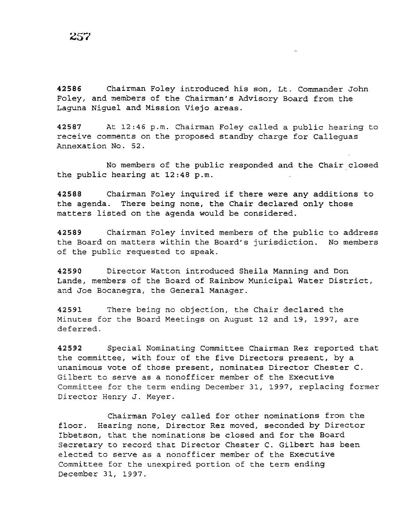42586 Chairman Foley introduced his son, Lt. Commander John Foley, and members of the Chairman's Advisory Board from the Laguna Niguel and Mission Viejo areas.

42587 At 12:46 p.m. Chairman Foley called a public hearing to receive comments on the proposed standby charge for Calleguas Annexation No. 52.

No members of the public responded and the Chair closed the public hearing at 12:48 p.m.

42588 Chairman Foley inquired if there were any additions to the agenda. There being none, the Chair declared only those matters listed on the agenda would be considered.

42589 Chairman Foley invited members of the public to address the Board on matters within the Board's jurisdiction. No members of the public requested to speak.

42590 Director Watton introduced Sheila Manning and Don Lande, members of the Board of Rainbow Municipal Water District, and Joe Bocanegra, the General Manager.

42591 There being no objection, the Chair declared the Minutes for the Board Meetings on August 12 and 19, 1997, are deferred.

42592 Special Nominating Committee Chairman Rez reported that the committee, with four of the five Directors present, by a unanimous vote of those present, nominates Director Chester C. Gilbert to serve as a nonofficer member of the Executive Committee for the term ending December 31, 1997, replacing former Director Henry J. Meyer.

Chairman Foley called for other nominations from the floor. Hearing none, Director Rez moved, seconded by Director Ibbetson, that the nominations be closed and for the Board Secretary to record that Director Chester C. Gilbert has been elected to serve as a nonofficer member of the Executive Committee for the unexpired portion of the term ending December 31, 1997.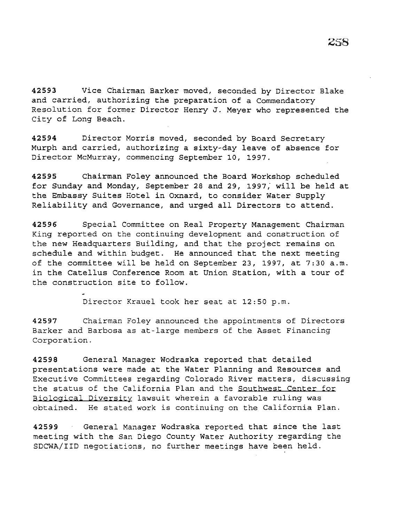**42593** Vice Chairman Barker moved, seconded by Director Blake and carried, authorizing the preparation of a Commendatory Resolution for former Director Henry J. Meyer who represented the City of Long Beach.

**42594** Director Morris moved, seconded by Board Secretary Murph and carried, authorizing a sixty-day leave of absence for Director McMurray, commencing September 10, 1997.

**42595** Chairman Foley announced the Board Workshop scheduled for Sunday and Monday, September 28 and 29, 1997, will be held at the Embassy Suites Hotel in Oxnard, to consider Water Supply Reliability and Governance, and urged all Directors to attend.

**42596** Special Committee on Real Property Management Chairman King reported on the continuing development and construction of the new Headquarters Building, and that the project remains on schedule and within budget. He announced that the next meeting of the committee will be held on September 23, 1997, at 7:30 a.m. in the Catellus Conference Room at Union Station, with a tour of the construction site to follow.

Director Krauel took her seat at 12:50 p.m.

**42597** Chairman Foley announced the appointments of Directors Barker and Barbosa as at-large members of the Asset Financing Corporation.

**42598** General Manager Wodraska reported that detailed presentations were made at the Water Planning and Resources and Executive Committees regarding Colorado River matters, discussing the status of the California Plan and the Southwest Center for Biological Diversity lawsuit wherein a favorable ruling was obtained. He stated work is continuing on the California Plan.

**42599** General Manager Wodraska reported that since the last meeting with the San Diego County Water Authority regarding the SDCWA/IID negotiations, no further meetings have been held.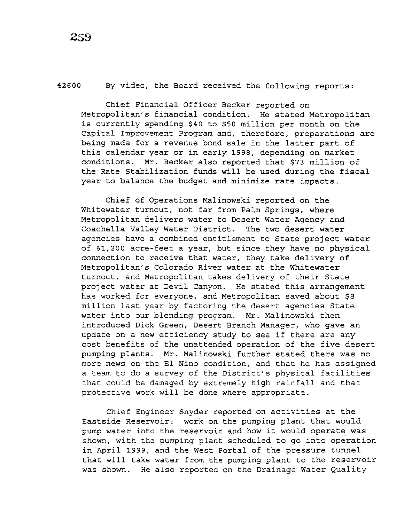## **42600** By video, the Board received the following reports:

Chief Financial Officer Becker reported on Metropolitan's financial condition. He stated Metropolitan is currently spending \$40 to \$50 million per month on the Capital Improvement Program and, therefore, preparations are being made for a revenue bond sale in the latter part of this calendar year or in early 1998, depending on market conditions. Mr. Becker also reported that \$73 million of the Rate Stabilization funds will be used during the fiscal year to balance the budget and minimize rate impacts.

Chief of Operations Malinowski reported on the Whitewater turnout, not far from Palm Springs, where Metropolitan delivers water to Desert Water Agency and Coachella Valley Water District. The two desert water agencies have a combined entitlement to State project water of 61,200 acre-feet a year, but since they have no physical connection to receive that water, they take delivery of Metropolitan's Colorado River water at the Whitewater turnout, and Metropolitan takes delivery of their State project water at Devil Canyon. He stated this arrangement has worked for everyone, and Metropolitan saved about \$8 million last year by factoring the desert agencies State water into our blending program. Mr. Malinowski then introduced Dick Green, Desert Branch Manager, who gave an update on a new efficiency study to see if there are any cost benefits of the unattended operation of the five desert pumping plants. Mr. Malinowski further stated there was no more news on the El Nino condition, and that he has assigned a team to do a survey of the District's physical facilities that could be damaged by extremely high rainfall and that protective work will be done where appropriate.

Chief Engineer Snyder reported on activities at the Eastside Reservoir: work on the pumping plant that would pump water into the reservoir and how it would operate was shown, with the pumping plant scheduled to go into operation in April 1999; and the West Portal of the pressure tunnel that will take water from the pumping plant to the reservoir was shown. He also reported on the Drainage Water Quality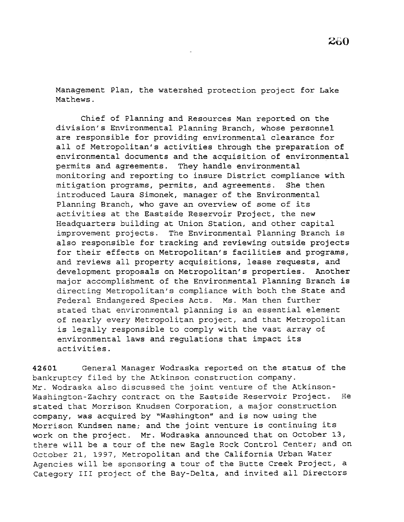Management Plan, the watershed protection project for Lake Mathews.

Chief of Planning and Resources Man reported on the division's Environmental Planning Branch, whose personnel are responsible for providing environmental clearance for all of Metropolitan's activities through the preparation of environmental documents and the acquisition of environmental permits and agreements. They handle environmental monitoring and reporting to insure District compliance with mitigation programs, permits, and agreements. She then introduced Laura Simonek, manager of the Environmental Planning Branch, who gave an overview of some of its activities at the Eastside Reservoir Project, the new Headquarters building at Union Station, and other capital improvement projects. The Environmental Planning Branch is also responsible for tracking and reviewing outside projects for their effects on Metropolitan's facilities and programs, and reviews all property acquisitions, lease requests, and development proposals on Metropolitan's properties. Another major accomplishment of the Environmental Planning Branch is directing Metropolitan's compliance with both the State and Federal Endangered Species Acts. Ms. Man then further stated that environmental planning is an essential element of nearly every Metropolitan project, and that Metropolitan is legally responsible to comply with the vast array of environmental laws and regulations that impact its activities.

42601 General Manager Wodraska reported on the status of the bankruptcy filed by the Atkinson construction company. Mr. Wodraska also discussed the joint venture of the Atkinson-Washington-Zachry contract on the Eastside Reservoir Project. He stated that Morrison Knudsen Corporation, a major construction company, was acquired by "Washington" and is now using the Morrison Kundsen name; and the joint venture is continuing its work on the project. Mr. Wodraska announced that on October 13, there will be a tour of the new Eagle Rock Control Center; and on October 21, 1997, Metropolitan and the California Urban Water Agencies will be sponsoring a tour of the Butte Creek Project, a Category III project of the Bay-Delta, and invited all Directors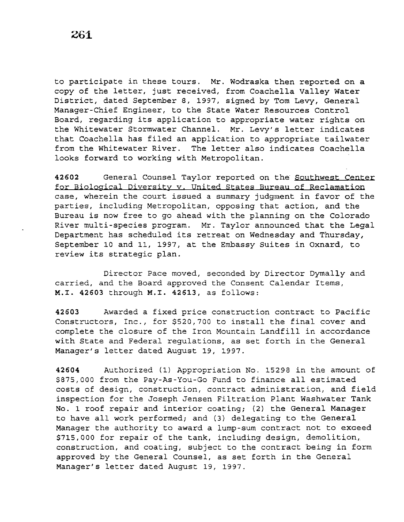to participate in these tours. Mr. Wodraska then reported on a copy of the letter, just received, from Coachella Valley Water District, dated September 8, 1997, signed by Tom Levy, General Manager-Chief Engineer, to the State Water Resources Control Board, regarding its application to appropriate water rights on the Whitewater Stormwater Channel. Mr. Levy's letter indicates that Coachella has filed an application to appropriate tailwater from the Whitewater River. The letter also indicates Coachella looks forward to working with Metropolitan.

**42602** General Counsel Taylor reported on the Southwest Center for Biological Diversity v. United States Bureau of Reclamation case, wherein the court issued a summary judgment in favor of the parties, including Metropolitan, opposing that action, and the Bureau is now free to go ahead with the planning on the Colorado River multi-species program. Mr. Taylor announced that the Legal Department has scheduled its retreat on Wednesday and Thursday, September 10 and 11, 1997, at the Embassy Suites in Oxnard, to review its strategic plan.

Director Pace moved, seconded by Director Dymally and carried, and the Board approved the Consent Calendar Items, **M.I. 42603** through **M.I. 42613,** as follows:

**42603** Awarded a fixed price construction contract to Pacific Constructors, Inc., for \$520,700 to install the final cover and complete the closure of the Iron Mountain Landfill in accordance with State and Federal regulations, as set forth in the General Manager's letter dated August 19, 1997.

**42604** Authorized (1) Appropriation No. 15298 in the amount of \$875,000 from the Pay-As-You-Go Fund to finance all estimated costs of design, construction, contract administration, and field inspection for the Joseph Jensen Filtration Plant Washwater Tank No. 1 roof repair and interior coating; (2) the General Manager to have all work performed; and (3) delegating to the General Manager the authority to award a lump-sum contract not to exceed \$715,000 for repair of the tank, including design, demolition, construction, and coating, subject to the contract being in form approved by the General Counsel, as set forth *in* the General Manager's letter dated August 19, 1997.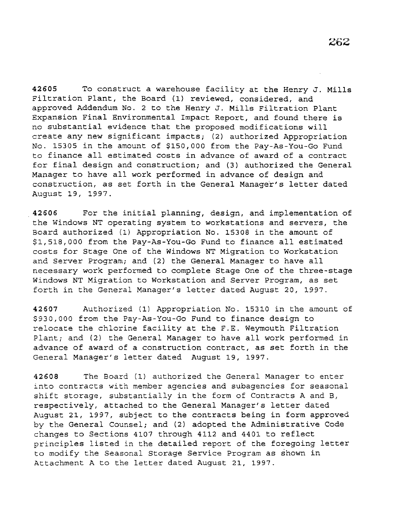42605 To construct a warehouse facility at the Henry J. Mills Filtration Plant, the Board (1) reviewed, considered, and approved Addendum No. 2 to the Henry J. Mills Filtration Plant Expansion Final Environmental Impact Report, and found there is no substantial evidence that the proposed modifications will create any new significant impacts; (2) authorized Appropriation No. 15305 in the amount of \$150,000 from the Pay-As-You-Go Fund to finance all estimated costs in advance of award of a contract for final design and construction; and (3) authorized the General Manager to have all work performed in advance of design and construction, as set forth in the General Manager's letter dated August 19, 1997.

42606 For the initial planning, design, and implementation of the Windows NT operating system to workstations and servers, the Board authorized (1) Appropriation No. 15308 in the amount of \$1,518,000 from the Pay-As-You-Go Fund to finance all estimated costs for Stage One of the Windows NT Migration to Workstation and Server Program; and (2) the General Manager to have all necessary work performed to complete Stage One of the three-stage Windows NT Migration to Workstation and Server Program, as set forth in the General Manager's letter dated August 20, 1997.

42607 Authorized (1) Appropriation No. 15310 in the amount of \$930,000 from the Pay-As-You-Go Fund to finance design to relocate the chlorine facility at the F.E. Weymouth Filtration Plant; and (2) the General Manager to have all work performed in advance of award of a construction contract, as set forth in the General Manager's letter dated August 19, 1997.

42608 The Board (1) authorized the General Manager to enter into contracts with member agencies and subagencies for seasonal shift storage, substantially in the form of Contracts A and B, respectively, attached to the General Manager's letter dated August 21, 1997, subject to the contracts being in form approved by the General Counsel; and (2) adopted the Administrative Code changes to Sections 4107 through 4112 and 4401 to reflect principles listed in the detailed report of the foregoing letter to modify the Seasonal Storage Service Program as shown in Attachment A to the letter dated August 21, 1997.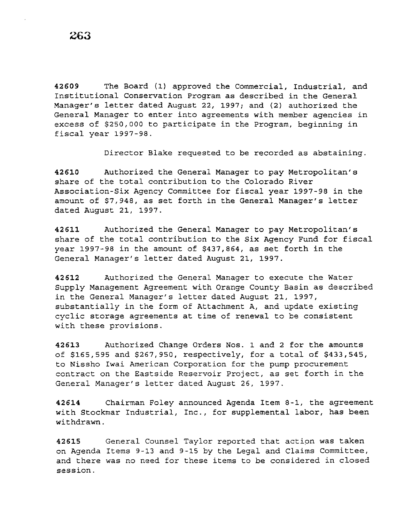**42609** The Board (1) approved the Commercial, Industrial, and Institutional Conservation Program as described in the General Manager's letter dated August 22, 1997; and (2) authorized the General Manager to enter into agreements with member agencies in excess of \$250,000 to participate in the Program, beginning in fiscal year 1997-98.

Director Blake requested to be recorded as abstaining.

**42610** Authorized the General Manager to pay Metropolitan's share of the total contribution to the Colorado River Association-Six Agency Committee for fiscal year 1997-98 in the amount of \$7,948, as set forth in the General Manager's letter dated August 21, 1997.

**42611** Authorized the General Manager to pay Metropolitan's share of the total contribution to the Six Agency Fund for fiscal year 1997-98 in the amount of \$437,864, as set forth in the General Manager's letter dated August 21, 1997.

**42612** Authorized the General Manager to execute the Water Supply Management Agreement with Orange County Basin as described in the General Manager's letter dated August 21, 1997, substantially in the form of Attachment A, and update existing cyclic storage agreements at time of renewal to be consistent with these provisions.

**42613** Authorized Change Orders Nos. 1 and 2 for the amounts of \$165,595 and \$267,950, respectively, for a total of \$433,545, to Nissho Iwai American Corporation for the pump procurement contract on the Eastside Reservoir Project, as set forth in the General Manager's letter dated August 26, 1997.

**42614** Chairman Foley announced Agenda Item 8-1, the agreement with Stockmar Industrial, Inc., for supplemental labor, has been withdrawn.

**42615** General Counsel Taylor reported that actipn was taken on Agenda Items 9-13 and 9-15 by the Legal and Claims Committee, and there was no need for these items to be considered in closed session.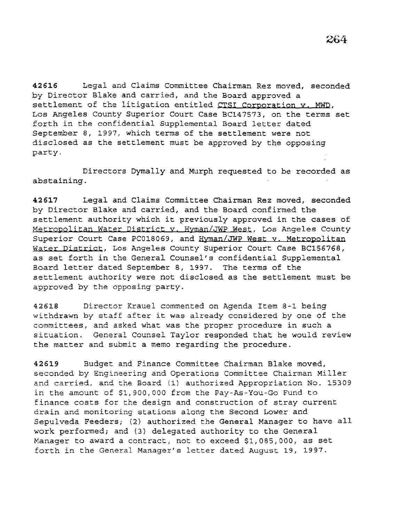42616 Legal and Claims Committee Chairman Rez moved, seconded by Director Blake and carried, and the Board approved a settlement of the litigation entitled CTSI Corporation v. MWD, Los Angeles County Superior Court Case BC147573, on the terms set forth in the confidential Supplemental Board letter dated September 8, 1997, which terms of the settlement were not disclosed as the settlement must be approved by the opposing party.

Directors Dymally and Murph requested to be recorded as abstaining.

42617 Legal and Claims Committee Chairman Rez moved, seconded by Director Blake and carried, and the Board confirmed the settlement authority which it previously approved in the cases of Metropolitan Water District y. Hyman/JWP West, Los Angeles County Superior Court Case PC018069, and Hyman/JWP West v. Metropolitan Water District, Los Angeles County Superior Court Case BC156768, as set forth in the General Counsel's confidential Supplemental Board letter dated September 8, 1997. The terms of the settlement authority were not disclosed as the settlement must be approved by the opposing party.

42618 Director Krauel commented on Agenda Item 8-1 being withdrawn by staff after it was already considered by one of the committees, and asked what was the proper procedure in such a situation. General Counsel Taylor responded that he would review the matter and submit a memo regarding the procedure.

42619 Budget and Finance Committee Chairman Blake moved, seconded by Engineering and Operations Committee Chairman Miller and carried, and the Board (1) authorized Appropriation No. 15309 in the amount of \$1,900,000 from the Pay-As-You-Go Fund to finance costs for the design and construction of stray current drain and monitoring stations along the Second Lower and Sepulveda Feeders; (2) authorized the General Manager to have all work performed; and (3) delegated authority to the General Manager to award a contract, not to exceed \$1,085,000, as set forth in the General Manager's letter dated August 19, 1997.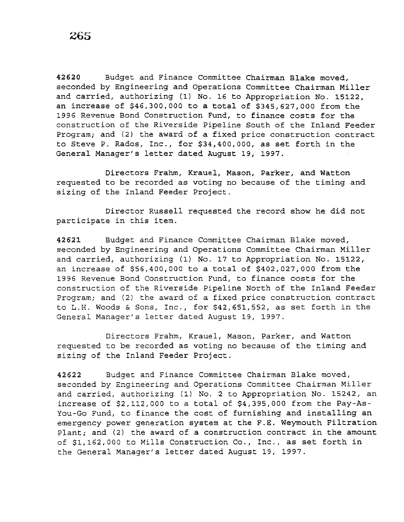**42620** Budget and Finance Committee Chairman Blake moved, seconded by Engineering and Operations Committee Chairman Miller and carried, authorizing (1) No. 16 to Appropriation No. 15122, an increase of \$46,300,000 to a total of \$345,627,000 from the 1996 Revenue Bond Construction Fund, to finance costs for the construction of the Riverside Pipeline South of the Inland Feeder Program; and (2) the award of a fixed price construction contract to Steve P. Rados, Inc., for \$34,400,000, as set forth in the General Manager's letter dated August 19, 1997.

Directors Frahm, Krauel, Mason, Parker, and Watton requested to be recorded as voting no because of the timing and sizing of the Inland Feeder Project.

Director Russell requested the record show he did not participate in this item.

42621 Budget and Finance Committee Chairman Blake moved, seconded by Engineering and Operations Committee Chairman Miller and carried, authorizing (1) No. 17 to Appropriation No. 15122, an increase of \$56,400,000 to a total of \$402,027,000 from the 1996 Revenue Bond Construction Fund, to finance costs for the construction of the Riverside Pipeline North of the Inland Feeder Program; and (2) the award of a fixed price construction contract to L.H. Woods & Sons, Inc., for \$42,651,552, as set forth in the General Manager's letter dated August 19, 1997.

Directors Frahm, Krauel, Mason, Parker, and Watton requested to be recorded as voting no because of the timing and sizing of the Inland Feeder Project.

42622 Budget and Finance Committee Chairman Blake moved, seconded by Engineering and Operations Committee Chairman Miller and carried, authorizing (1) No. 2 to Appropriation No. 15242, an increase of \$2,112,000 to a total of \$4,395,000 from the Pay-As-You-Go Fund, to finance the cost of furnishing and installing an emergency power generation system at the F.E. Weymouth Filtration Plant; and (2) the award of a construction contract in the amount of \$1,162,000 to Mills Construction Co., Inc., as set forth in the General Manager's letter dated August 19, 1997.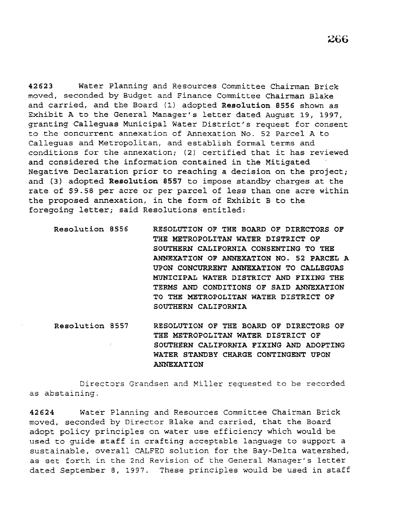42623 Water Planning and Resources Committee Chairman Brick moved, seconded by Budget and Finance Committee Chairman Blake and carried, and the Board (1) adopted Resolution 8556 shown as Exhibit A to the General Manager's letter dated August 19, 1997, granting Calleguas Municipal Water *District's* request for consent to the concurrent annexation of Annexation No. 52 Parcel A to Calleguas and Metropolitan, and establish formal terms and conditions for the annexation; (2) certified that *it* has reviewed and considered the information contained in the Mitigated Negative Declaration prior to reaching a decision on the project; and {3) adopted Resolution 8557 to impose standby charges at the rate of \$9.58 per acre or per parcel of less than one acre within the proposed annexation, in the form of Exhibit B to the foregoing letter; said Resolutions entitled:

Resolution 8556

RESOLUTION OF THE BOARD OF DIRECTORS OF THE METROPOLITAN WATER DISTRICT OF SOUTHERN CALIFORNIA CONSENTING TO THE ANNEXATION OF ANNEXATION NO. 52 PARCEL A UPON CONCURRENT ANNEXATION TO CALLEGUAS MUNICIPAL WATER DISTRICT AND FIXING THE TERMS AND CONDITIONS OF SAID ANNEXATION TO THE METROPOLITAN WATER DISTRICT OF SOUTHERN CALIFORNIA

Resolution 8557 RESOLUTION OF THE BOARD OF DIRECTORS OF THE METROPOLITAN WATER DISTRICT OF SOUTHERN CALIFORNIA FIXING AND ADOPTING WATER STANDBY CHARGE CONTINGENT UPON ANNEXATION

Directors Grandsen and Miller requested to be recorded as abstaining.

42624 Water Planning and Resources Committee Chairman Brick moved, seconded by Director Blake and carried, that the Board adopt policy principles on water use efficiency which would be used to guide staff in crafting acceptable language to support a sustainable, overall CALFED solution for the Bay-Delta watershed, as set forth in the 2nd Revision of the General Manager's letter dated September 8, 1997. These principles would be used in staff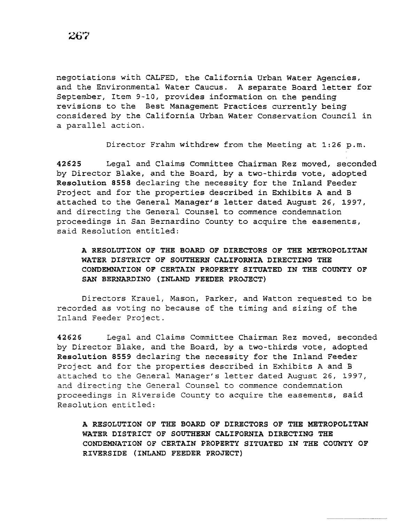negotiations with CALFED, the California Urban Water Agencies, and the Environmental Water Caucus. A separate Board letter for September, Item 9-10, provides information on the pending revisions to the Best Management Practices currently being considered by the California Urban Water Conservation Council in a parallel action.

Director Frahm withdrew from the Meeting at 1:26 p.m.

42625 Legal and Claims Committee Chairman Rez moved, seconded by Director Blake, and the Board, by a two-thirds vote, adopted Resolution 8558 declaring the necessity for the Inland Feeder Project and for the properties described in Exhibits A and B attached to the General Manager's letter dated August 26, 1997, and directing the General Counsel to commence condemnation proceedings in San Bernardino County to acquire the easements, said Resolution entitled:

# A RESOLUTION OF THE BOARD OF DIRECTORS OF THE METROPOLITAN WATER DISTRICT OF SOUTHERN CALIFORNIA DIRECTING THE CONDEMNATION OF CERTAIN PROPERTY SITUATED IN THE COUNTY OF SAN BERNARDINO (INLAND FEEDER PROJECT)

Directors Krauel, Mason, Parker, and Watton requested to be recorded as voting no because of the timing and sizing of the Inland Feeder Project.

42626 Legal and Claims Committee Chairman Rez moved, seconded by Director Blake, and the Board, by a two-thirds vote, adopted Resolution 8559 declaring the necessity for the Inland Feeder Project and for the properties described in Exhibits A and B attached to the General Manager's letter dated August 26, 1997, and directing the General Counsel to commence condemnation proceedings in Riverside County to acquire the easements, said Resolution entitled:

A RESOLUTION OF THE BOARD OF DIRECTORS OF THE METROPOLITAN WATER DISTRICT OF SOUTHERN CALIFORNIA DIRECTING THE CONDEMNATION OF CERTAIN PROPERTY SITUATED IN THE COUNTY OF RIVERSIDE (INLAND FEEDER PROJECT)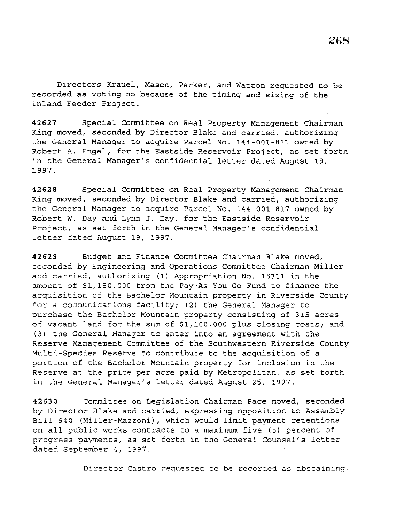Directors Krauel, Mason, Parker, and Watton requested to be recorded as voting no because of the timing and sizing of the Inland Feeder Project.

42627 Special Committee on Real Property Management Chairman King moved, seconded by Director Blake and carried, authorizing the General Manager to acquire Parcel No. 144-001-811 owned by Robert A. Engel, for the Eastside Reservoir Project, as set forth in the General Manager's confidential letter dated August 19; 1997.

42628 Special Committee on Real Property Management Chairman King moved, seconded by Director Blake and carried, authorizing the General Manager to acquire Parcel No. 144-001-817 owned by Robert W. Day and Lynn J. Day, for the Eastside Reservoir Project, as set forth in the General Manager's confidential letter dated August 19, 1997.

42629 Budget and Finance Committee Chairman Blake moved, seconded by Engineering and Operations Committee Chairman Miller and carried, authorizing (1) Appropriation No. 15311 in the amount of \$1,150,000 from the Pay-As-You-Go Fund to finance the acquisition of the Bachelor Mountain property in Riverside County for a communications facility; (2) the General Manager to purchase the Bachelor Mountain property consisting of 315 acres of vacant land for the sum of \$1,100,000 plus closing costs; and (3) the General Manager to enter into an agreement with the Reserve Management Committee of the Southwestern Riverside County Multi-Species Reserve to contribute to the acquisition of a portion of the Bachelor Mountain property for inclusion in the Reserve at the price per acre paid by Metropolitan, as set forth in the General Manager's letter dated August 25, 1997.

42630 Committee on Legislation Chairman Pace moved, seconded by Director Blake and carried, expressing opposition to Assembly Bill 940 (Miller-Mazzoni), which would limit payment retentions on all public works contracts to a maximum five (5) percent of progress payments, as set forth in the General Counsel's letter dated September 4, 1997.

Director Castro requested to be recorded as abstaining.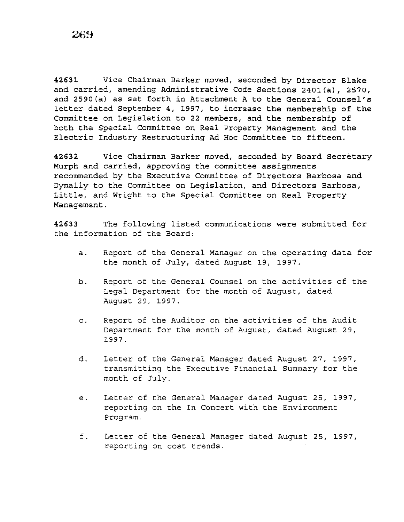42631 Vice Chairman Barker moved, seconded by Director Blake and carried, amending Administrative Code Sections 2401(a), 2570, and 2590(a) as set forth in Attachment A to the General Counsel's letter dated September 4, 1997, to increase the membership of the Committee on Legislation to 22 members, and the membership of both the Special Committee on Real Property Management and the Electric Industry Restructuring Ad Hoc Committee to fifteen.

42632 Vice Chairman Barker moved, seconded by Board Secretary Murph and carried, approving the committee assignments recommended by the Executive Committee of Directors Barbosa and Dymally to the Committee on Legislation, and Directors Barbosa, Little, and Wright to the Special Committee on Real Property Management.

42633 The following listed communications were submitted for the information of the Board:

- a. Report of the General Manager on the operating data for the month of July, dated August 19, 1997.
- b. Report of the General Counsel on the activities of the Legal Department for the month of August, dated August 29, 1997.
- c. Report of the Auditor on the activities of the Audit Department for the month of August, dated August 29, 1997.
- d. Letter of the General Manager dated August 27, 1997, transmitting the Executive Financial Summary for the month of July.
- e. Letter of the General Manager dated August 25, 1997, reporting on the In Concert with the Environment Program.
- f. Letter of the General Manager dated August 25, 1997, reporting on cost trends.